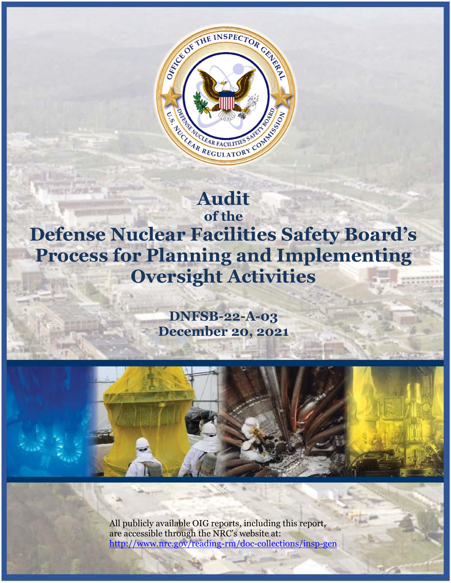

# **Audit of the**

**Defense Nuclear Facilities Safety Board's Process for Planning and Implementing Oversight Activities**

> **DNFSB-22-A-03 December 20, 2021**



All publicly available OIG reports, including this report, are accessible through the NRC's website at: <http://www.nrc.gov/reading-rm/doc-collections/insp-gen>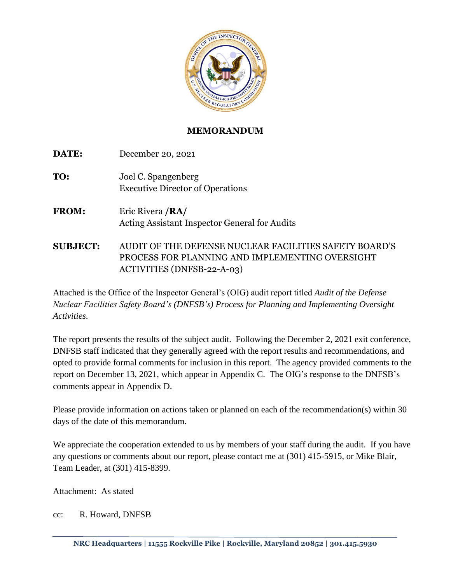

## **MEMORANDUM**

| DATE:           | December 20, 2021                                                                                                                              |
|-----------------|------------------------------------------------------------------------------------------------------------------------------------------------|
| TO:             | Joel C. Spangenberg<br><b>Executive Director of Operations</b>                                                                                 |
| <b>FROM:</b>    | Eric Rivera / RA/<br>Acting Assistant Inspector General for Audits                                                                             |
| <b>SUBJECT:</b> | AUDIT OF THE DEFENSE NUCLEAR FACILITIES SAFETY BOARD'S<br>PROCESS FOR PLANNING AND IMPLEMENTING OVERSIGHT<br><b>ACTIVITIES (DNFSB-22-A-03)</b> |

Attached is the Office of the Inspector General's (OIG) audit report titled *Audit of the Defense Nuclear Facilities Safety Board's (DNFSB's) Process for Planning and Implementing Oversight Activities*.

The report presents the results of the subject audit. Following the December 2, 2021 exit conference, DNFSB staff indicated that they generally agreed with the report results and recommendations, and opted to provide formal comments for inclusion in this report. The agency provided comments to the report on December 13, 2021, which appear in Appendix C. The OIG's response to the DNFSB's comments appear in Appendix D.

Please provide information on actions taken or planned on each of the recommendation(s) within 30 days of the date of this memorandum.

We appreciate the cooperation extended to us by members of your staff during the audit. If you have any questions or comments about our report, please contact me at (301) 415-5915, or Mike Blair, Team Leader, at (301) 415-8399.

Attachment: As stated

cc: R. Howard, DNFSB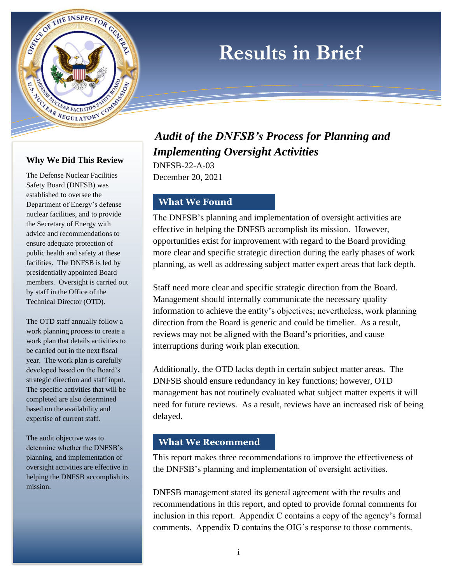# **Results in Brief**



CO REGISTRATION CONTRACTORY CONTRACTORY

ES CONTRE INSPECTOR CENTRE

The Defense Nuclear Facilities Safety Board (DNFSB) was established to oversee the Department of Energy's defense nuclear facilities, and to provide the Secretary of Energy with advice and recommendations to ensure adequate protection of public health and safety at these facilities. The DNFSB is led by presidentially appointed Board members. Oversight is carried out by staff in the Office of the Technical Director (OTD).

The OTD staff annually follow a work planning process to create a work plan that details activities to be carried out in the next fiscal year. The work plan is carefully developed based on the Board's strategic direction and staff input. The specific activities that will be completed are also determined based on the availability and expertise of current staff.

The audit objective was to determine whether the DNFSB's planning, and implementation of oversight activities are effective in helping the DNFSB accomplish its mission.

# *Audit of the DNFSB's Process for Planning and Implementing Oversight Activities*

DNFSB-22-A-03 December 20, 2021

# **What We Found**

The DNFSB's planning and implementation of oversight activities are effective in helping the DNFSB accomplish its mission. However, opportunities exist for improvement with regard to the Board providing more clear and specific strategic direction during the early phases of work planning, as well as addressing subject matter expert areas that lack depth.

Staff need more clear and specific strategic direction from the Board. Management should internally communicate the necessary quality information to achieve the entity's objectives; nevertheless, work planning direction from the Board is generic and could be timelier. As a result, reviews may not be aligned with the Board's priorities, and cause interruptions during work plan execution.

Additionally, the OTD lacks depth in certain subject matter areas. The DNFSB should ensure redundancy in key functions; however, OTD management has not routinely evaluated what subject matter experts it will need for future reviews. As a result, reviews have an increased risk of being delayed.

## **What We Recommend**

This report makes three recommendations to improve the effectiveness of the DNFSB's planning and implementation of oversight activities.

DNFSB management stated its general agreement with the results and recommendations in this report, and opted to provide formal comments for inclusion in this report. Appendix C contains a copy of the agency's formal comments. Appendix D contains the OIG's response to those comments.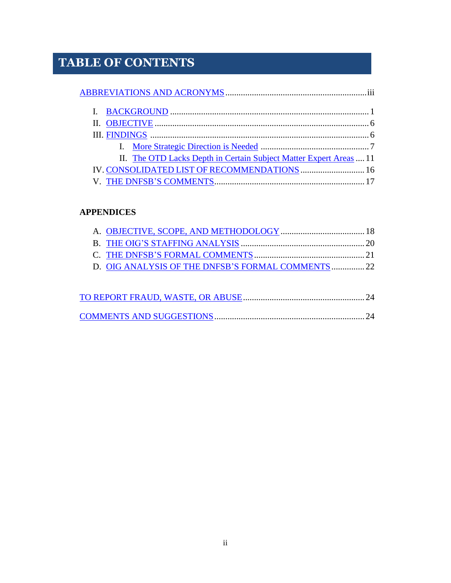# **TABLE OF CONTENTS**

| II. The OTD Lacks Depth in Certain Subject Matter Expert Areas  11 |  |
|--------------------------------------------------------------------|--|
| IV. CONSOLIDATED LIST OF RECOMMENDATIONS  16                       |  |
|                                                                    |  |

## **APPENDICES**

| D. OIG ANALYSIS OF THE DNFSB'S FORMAL COMMENTS 22 |  |
|---------------------------------------------------|--|
|                                                   |  |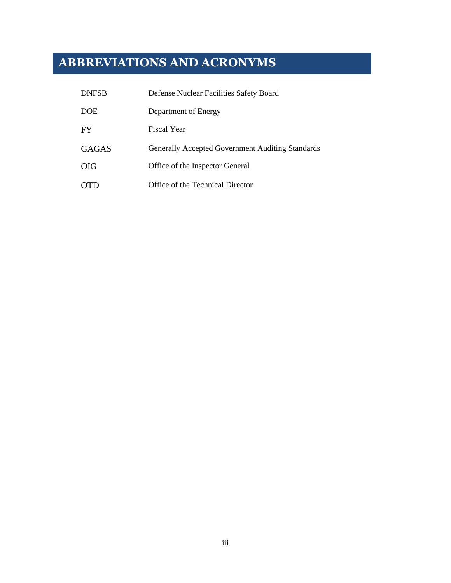# <span id="page-4-0"></span>**ABBREVIATIONS AND ACRONYMS**

| <b>DNFSB</b> | Defense Nuclear Facilities Safety Board          |
|--------------|--------------------------------------------------|
| <b>DOE</b>   | Department of Energy                             |
| FY           | Fiscal Year                                      |
| <b>GAGAS</b> | Generally Accepted Government Auditing Standards |
| <b>OIG</b>   | Office of the Inspector General                  |
| TD           | Office of the Technical Director                 |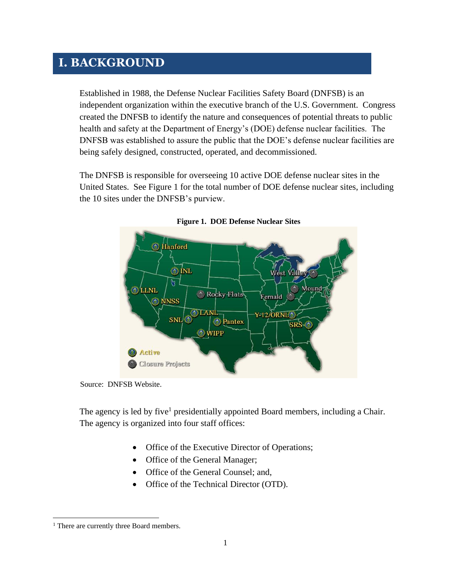# <span id="page-5-0"></span>**I. BACKGROUND**

Established in 1988, the Defense Nuclear Facilities Safety Board (DNFSB) is an independent organization within the executive branch of the U.S. Government. Congress created the DNFSB to identify the nature and consequences of potential threats to public health and safety at the Department of Energy's (DOE) defense nuclear facilities. The DNFSB was established to assure the public that the DOE's defense nuclear facilities are being safely designed, constructed, operated, and decommissioned.

The DNFSB is responsible for overseeing 10 active DOE defense nuclear sites in the United States. See Figure 1 for the total number of DOE defense nuclear sites, including the 10 sites under the DNFSB's purview.



**Figure 1. DOE Defense Nuclear Sites**

Source: DNFSB Website.

The agency is led by five<sup>1</sup> presidentially appointed Board members, including a Chair. The agency is organized into four staff offices:

- Office of the Executive Director of Operations;
- Office of the General Manager;
- Office of the General Counsel; and,
- Office of the Technical Director (OTD).

<sup>&</sup>lt;sup>1</sup> There are currently three Board members.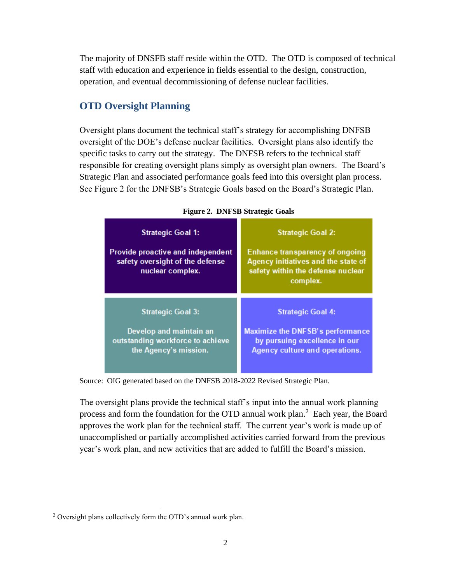The majority of DNSFB staff reside within the OTD. The OTD is composed of technical staff with education and experience in fields essential to the design, construction, operation, and eventual decommissioning of defense nuclear facilities.

# **OTD Oversight Planning**

Oversight plans document the technical staff's strategy for accomplishing DNFSB oversight of the DOE's defense nuclear facilities. Oversight plans also identify the specific tasks to carry out the strategy. The DNFSB refers to the technical staff responsible for creating oversight plans simply as oversight plan owners. The Board's Strategic Plan and associated performance goals feed into this oversight plan process. See Figure 2 for the DNFSB's Strategic Goals based on the Board's Strategic Plan.

| <b>Strategic Goal 1:</b><br>Provide proactive and independent<br>safety oversight of the defense<br>nuclear complex. | <b>Strategic Goal 2:</b><br><b>Enhance transparency of ongoing</b><br>Agency initiatives and the state of<br>safety within the defense nuclear<br>complex. |
|----------------------------------------------------------------------------------------------------------------------|------------------------------------------------------------------------------------------------------------------------------------------------------------|
| <b>Strategic Goal 3:</b>                                                                                             | <b>Strategic Goal 4:</b>                                                                                                                                   |
| Develop and maintain an                                                                                              | Maximize the DNFSB's performance                                                                                                                           |
| outstanding workforce to achieve                                                                                     | by pursuing excellence in our                                                                                                                              |
| the Agency's mission.                                                                                                | Agency culture and operations.                                                                                                                             |

**Figure 2. DNFSB Strategic Goals**

Source: OIG generated based on the DNFSB 2018-2022 Revised Strategic Plan.

The oversight plans provide the technical staff's input into the annual work planning process and form the foundation for the OTD annual work plan. $<sup>2</sup>$  Each year, the Board</sup> approves the work plan for the technical staff. The current year's work is made up of unaccomplished or partially accomplished activities carried forward from the previous year's work plan, and new activities that are added to fulfill the Board's mission.

<sup>2</sup> Oversight plans collectively form the OTD's annual work plan.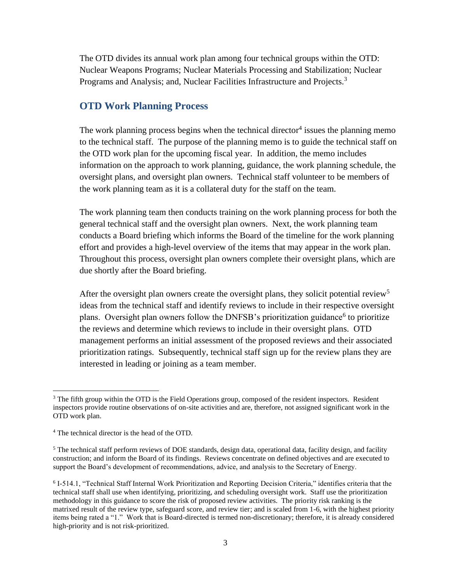The OTD divides its annual work plan among four technical groups within the OTD: Nuclear Weapons Programs; Nuclear Materials Processing and Stabilization; Nuclear Programs and Analysis; and, Nuclear Facilities Infrastructure and Projects.<sup>3</sup>

## **OTD Work Planning Process**

The work planning process begins when the technical director<sup>4</sup> issues the planning memo to the technical staff. The purpose of the planning memo is to guide the technical staff on the OTD work plan for the upcoming fiscal year. In addition, the memo includes information on the approach to work planning, guidance, the work planning schedule, the oversight plans, and oversight plan owners. Technical staff volunteer to be members of the work planning team as it is a collateral duty for the staff on the team.

The work planning team then conducts training on the work planning process for both the general technical staff and the oversight plan owners. Next, the work planning team conducts a Board briefing which informs the Board of the timeline for the work planning effort and provides a high-level overview of the items that may appear in the work plan. Throughout this process, oversight plan owners complete their oversight plans, which are due shortly after the Board briefing.

After the oversight plan owners create the oversight plans, they solicit potential review<sup>5</sup> ideas from the technical staff and identify reviews to include in their respective oversight plans. Oversight plan owners follow the DNFSB's prioritization guidance<sup>6</sup> to prioritize the reviews and determine which reviews to include in their oversight plans. OTD management performs an initial assessment of the proposed reviews and their associated prioritization ratings. Subsequently, technical staff sign up for the review plans they are interested in leading or joining as a team member.

<sup>&</sup>lt;sup>3</sup> The fifth group within the OTD is the Field Operations group, composed of the resident inspectors. Resident inspectors provide routine observations of on-site activities and are, therefore, not assigned significant work in the OTD work plan.

<sup>4</sup> The technical director is the head of the OTD.

<sup>&</sup>lt;sup>5</sup> The technical staff perform reviews of DOE standards, design data, operational data, facility design, and facility construction; and inform the Board of its findings. Reviews concentrate on defined objectives and are executed to support the Board's development of recommendations, advice, and analysis to the Secretary of Energy.

<sup>6</sup> I-514.1, "Technical Staff Internal Work Prioritization and Reporting Decision Criteria," identifies criteria that the technical staff shall use when identifying, prioritizing, and scheduling oversight work. Staff use the prioritization methodology in this guidance to score the risk of proposed review activities. The priority risk ranking is the matrixed result of the review type, safeguard score, and review tier; and is scaled from 1-6, with the highest priority items being rated a "1." Work that is Board-directed is termed non-discretionary; therefore, it is already considered high-priority and is not risk-prioritized.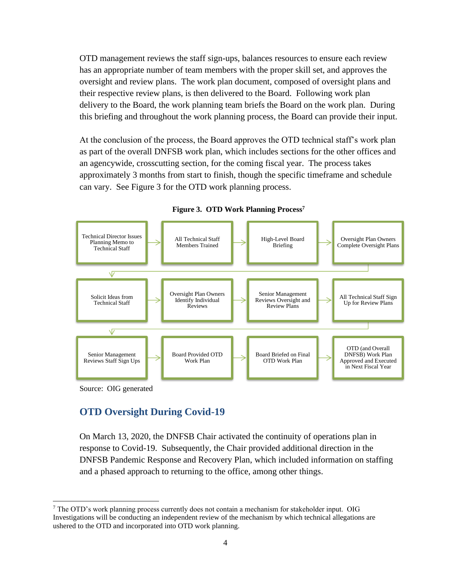OTD management reviews the staff sign-ups, balances resources to ensure each review has an appropriate number of team members with the proper skill set, and approves the oversight and review plans. The work plan document, composed of oversight plans and their respective review plans, is then delivered to the Board. Following work plan delivery to the Board, the work planning team briefs the Board on the work plan. During this briefing and throughout the work planning process, the Board can provide their input.

At the conclusion of the process, the Board approves the OTD technical staff's work plan as part of the overall DNFSB work plan, which includes sections for the other offices and an agencywide, crosscutting section, for the coming fiscal year. The process takes approximately 3 months from start to finish, though the specific timeframe and schedule can vary. See Figure 3 for the OTD work planning process.



**Figure 3. OTD Work Planning Process<sup>7</sup>**

#### Source: OIG generated

## **OTD Oversight During Covid-19**

On March 13, 2020, the DNFSB Chair activated the continuity of operations plan in response to Covid-19. Subsequently, the Chair provided additional direction in the DNFSB Pandemic Response and Recovery Plan, which included information on staffing and a phased approach to returning to the office, among other things.

<sup>7</sup> The OTD's work planning process currently does not contain a mechanism for stakeholder input. OIG Investigations will be conducting an independent review of the mechanism by which technical allegations are ushered to the OTD and incorporated into OTD work planning.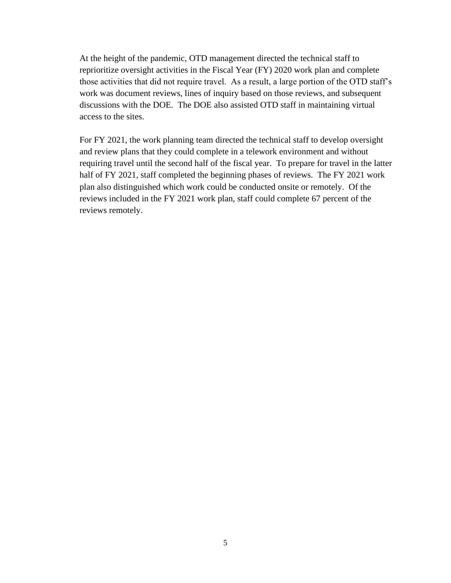At the height of the pandemic, OTD management directed the technical staff to reprioritize oversight activities in the Fiscal Year (FY) 2020 work plan and complete those activities that did not require travel. As a result, a large portion of the OTD staff's work was document reviews, lines of inquiry based on those reviews, and subsequent discussions with the DOE. The DOE also assisted OTD staff in maintaining virtual access to the sites.

For FY 2021, the work planning team directed the technical staff to develop oversight and review plans that they could complete in a telework environment and without requiring travel until the second half of the fiscal year. To prepare for travel in the latter half of FY 2021, staff completed the beginning phases of reviews. The FY 2021 work plan also distinguished which work could be conducted onsite or remotely. Of the reviews included in the FY 2021 work plan, staff could complete 67 percent of the reviews remotely.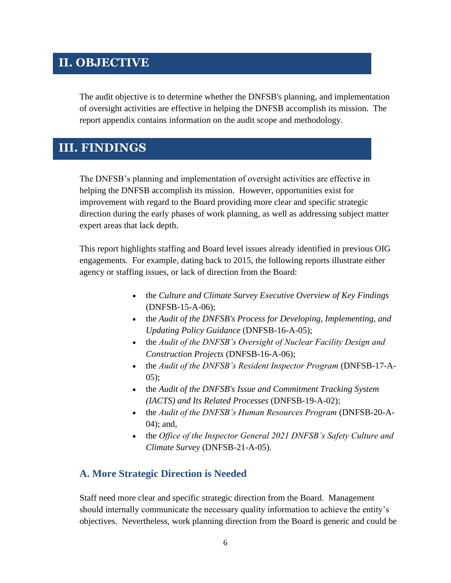# <span id="page-10-0"></span>**II. OBJECTIVE**

The audit objective is to determine whether the DNFSB's planning, and implementation of oversight activities are effective in helping the DNFSB accomplish its mission. The report appendix contains information on the audit scope and methodology.

# <span id="page-10-1"></span>**III. FINDINGS**

The DNFSB's planning and implementation of oversight activities are effective in helping the DNFSB accomplish its mission. However, opportunities exist for improvement with regard to the Board providing more clear and specific strategic direction during the early phases of work planning, as well as addressing subject matter expert areas that lack depth.

This report highlights staffing and Board level issues already identified in previous OIG engagements. For example, dating back to 2015, the following reports illustrate either agency or staffing issues, or lack of direction from the Board:

- the *Culture and Climate Survey Executive Overview of Key Findings*  (DNFSB-15-A-06);
- the *Audit of the DNFSB's Process for Developing, Implementing, and Updating Policy Guidance* (DNFSB-16-A-05);
- the *Audit of the DNFSB's Oversight of Nuclear Facility Design and Construction Projects* (DNFSB-16-A-06);
- the *Audit of the DNFSB's Resident Inspector Program* (DNFSB-17-A-05);
- the *Audit of the DNFSB's Issue and Commitment Tracking System (IACTS) and Its Related Processes* (DNFSB-19-A-02);
- the *Audit of the DNFSB's Human Resources Program* (DNFSB-20-A-04); and,
- the *Office of the Inspector General 2021 DNFSB's Safety Culture and Climate Survey* (DNFSB-21-A-05).

# <span id="page-10-2"></span>**A. More Strategic Direction is Needed**

Staff need more clear and specific strategic direction from the Board. Management should internally communicate the necessary quality information to achieve the entity's objectives. Nevertheless, work planning direction from the Board is generic and could be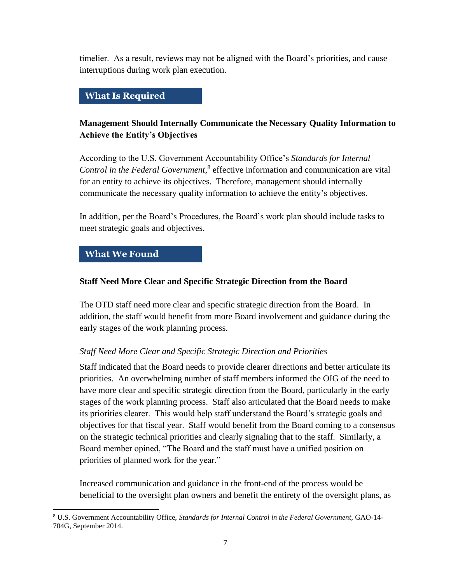timelier. As a result, reviews may not be aligned with the Board's priorities, and cause interruptions during work plan execution.

## **What Is Required**

## **Management Should Internally Communicate the Necessary Quality Information to Achieve the Entity's Objectives**

According to the U.S. Government Accountability Office's *Standards for Internal Control in the Federal Government*, 8 effective information and communication are vital for an entity to achieve its objectives. Therefore, management should internally communicate the necessary quality information to achieve the entity's objectives.

In addition, per the Board's Procedures, the Board's work plan should include tasks to meet strategic goals and objectives.

## **What We Found**

#### **Staff Need More Clear and Specific Strategic Direction from the Board**

The OTD staff need more clear and specific strategic direction from the Board. In addition, the staff would benefit from more Board involvement and guidance during the early stages of the work planning process.

## *Staff Need More Clear and Specific Strategic Direction and Priorities*

Staff indicated that the Board needs to provide clearer directions and better articulate its priorities. An overwhelming number of staff members informed the OIG of the need to have more clear and specific strategic direction from the Board, particularly in the early stages of the work planning process. Staff also articulated that the Board needs to make its priorities clearer. This would help staff understand the Board's strategic goals and objectives for that fiscal year. Staff would benefit from the Board coming to a consensus on the strategic technical priorities and clearly signaling that to the staff. Similarly, a Board member opined, "The Board and the staff must have a unified position on priorities of planned work for the year."

Increased communication and guidance in the front-end of the process would be beneficial to the oversight plan owners and benefit the entirety of the oversight plans, as

<sup>8</sup> U.S. Government Accountability Office, *Standards for Internal Control in the Federal Government,* GAO-14- 704G, September 2014.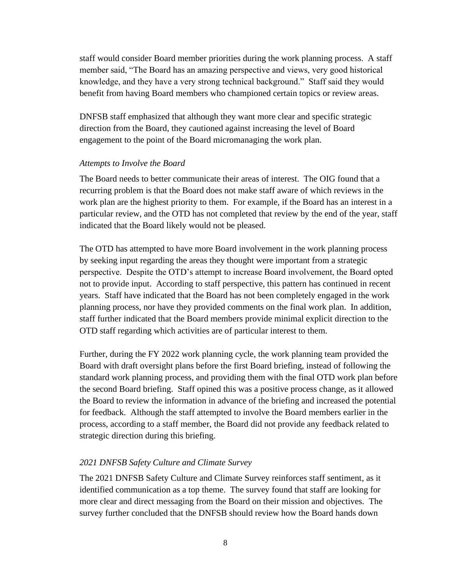staff would consider Board member priorities during the work planning process. A staff member said, "The Board has an amazing perspective and views, very good historical knowledge, and they have a very strong technical background." Staff said they would benefit from having Board members who championed certain topics or review areas.

DNFSB staff emphasized that although they want more clear and specific strategic direction from the Board, they cautioned against increasing the level of Board engagement to the point of the Board micromanaging the work plan.

#### *Attempts to Involve the Board*

The Board needs to better communicate their areas of interest. The OIG found that a recurring problem is that the Board does not make staff aware of which reviews in the work plan are the highest priority to them. For example, if the Board has an interest in a particular review, and the OTD has not completed that review by the end of the year, staff indicated that the Board likely would not be pleased.

The OTD has attempted to have more Board involvement in the work planning process by seeking input regarding the areas they thought were important from a strategic perspective. Despite the OTD's attempt to increase Board involvement, the Board opted not to provide input. According to staff perspective, this pattern has continued in recent years. Staff have indicated that the Board has not been completely engaged in the work planning process, nor have they provided comments on the final work plan. In addition, staff further indicated that the Board members provide minimal explicit direction to the OTD staff regarding which activities are of particular interest to them.

Further, during the FY 2022 work planning cycle, the work planning team provided the Board with draft oversight plans before the first Board briefing, instead of following the standard work planning process, and providing them with the final OTD work plan before the second Board briefing. Staff opined this was a positive process change, as it allowed the Board to review the information in advance of the briefing and increased the potential for feedback. Although the staff attempted to involve the Board members earlier in the process, according to a staff member, the Board did not provide any feedback related to strategic direction during this briefing.

#### *2021 DNFSB Safety Culture and Climate Survey*

The 2021 DNFSB Safety Culture and Climate Survey reinforces staff sentiment, as it identified communication as a top theme. The survey found that staff are looking for more clear and direct messaging from the Board on their mission and objectives. The survey further concluded that the DNFSB should review how the Board hands down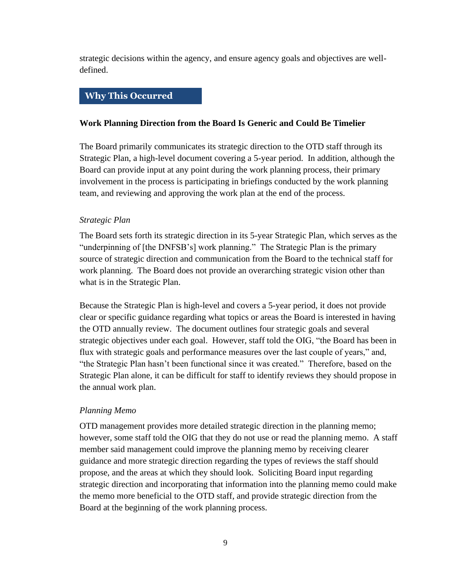strategic decisions within the agency, and ensure agency goals and objectives are welldefined.

### **Why This Occurred**

#### **Work Planning Direction from the Board Is Generic and Could Be Timelier**

The Board primarily communicates its strategic direction to the OTD staff through its Strategic Plan, a high-level document covering a 5-year period. In addition, although the Board can provide input at any point during the work planning process, their primary involvement in the process is participating in briefings conducted by the work planning team, and reviewing and approving the work plan at the end of the process.

#### *Strategic Plan*

The Board sets forth its strategic direction in its 5-year Strategic Plan, which serves as the "underpinning of [the DNFSB's] work planning." The Strategic Plan is the primary source of strategic direction and communication from the Board to the technical staff for work planning. The Board does not provide an overarching strategic vision other than what is in the Strategic Plan.

Because the Strategic Plan is high-level and covers a 5-year period, it does not provide clear or specific guidance regarding what topics or areas the Board is interested in having the OTD annually review. The document outlines four strategic goals and several strategic objectives under each goal. However, staff told the OIG, "the Board has been in flux with strategic goals and performance measures over the last couple of years," and, "the Strategic Plan hasn't been functional since it was created." Therefore, based on the Strategic Plan alone, it can be difficult for staff to identify reviews they should propose in the annual work plan.

#### *Planning Memo*

OTD management provides more detailed strategic direction in the planning memo; however, some staff told the OIG that they do not use or read the planning memo. A staff member said management could improve the planning memo by receiving clearer guidance and more strategic direction regarding the types of reviews the staff should propose, and the areas at which they should look. Soliciting Board input regarding strategic direction and incorporating that information into the planning memo could make the memo more beneficial to the OTD staff, and provide strategic direction from the Board at the beginning of the work planning process.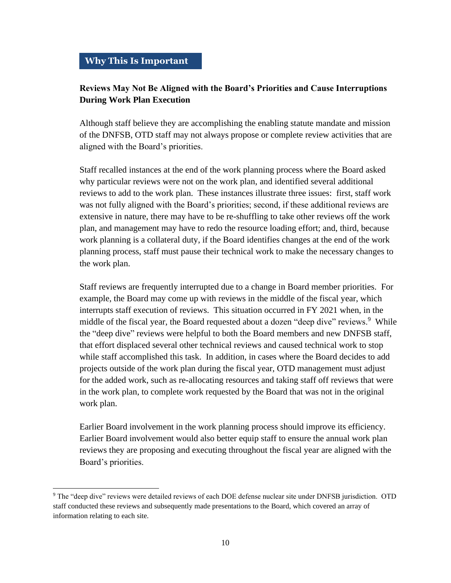## **Reviews May Not Be Aligned with the Board's Priorities and Cause Interruptions During Work Plan Execution**

Although staff believe they are accomplishing the enabling statute mandate and mission of the DNFSB, OTD staff may not always propose or complete review activities that are aligned with the Board's priorities.

Staff recalled instances at the end of the work planning process where the Board asked why particular reviews were not on the work plan, and identified several additional reviews to add to the work plan. These instances illustrate three issues: first, staff work was not fully aligned with the Board's priorities; second, if these additional reviews are extensive in nature, there may have to be re-shuffling to take other reviews off the work plan, and management may have to redo the resource loading effort; and, third, because work planning is a collateral duty, if the Board identifies changes at the end of the work planning process, staff must pause their technical work to make the necessary changes to the work plan.

Staff reviews are frequently interrupted due to a change in Board member priorities. For example, the Board may come up with reviews in the middle of the fiscal year, which interrupts staff execution of reviews. This situation occurred in FY 2021 when, in the middle of the fiscal year, the Board requested about a dozen "deep dive" reviews.<sup>9</sup> While the "deep dive" reviews were helpful to both the Board members and new DNFSB staff, that effort displaced several other technical reviews and caused technical work to stop while staff accomplished this task. In addition, in cases where the Board decides to add projects outside of the work plan during the fiscal year, OTD management must adjust for the added work, such as re-allocating resources and taking staff off reviews that were in the work plan, to complete work requested by the Board that was not in the original work plan.

Earlier Board involvement in the work planning process should improve its efficiency. Earlier Board involvement would also better equip staff to ensure the annual work plan reviews they are proposing and executing throughout the fiscal year are aligned with the Board's priorities.

<sup>9</sup> The "deep dive" reviews were detailed reviews of each DOE defense nuclear site under DNFSB jurisdiction. OTD staff conducted these reviews and subsequently made presentations to the Board, which covered an array of information relating to each site.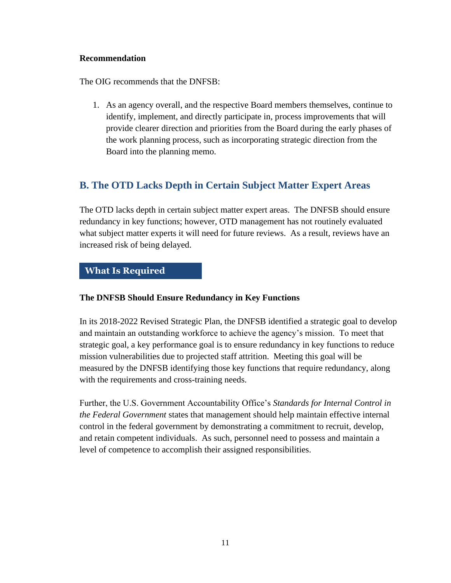#### **Recommendation**

The OIG recommends that the DNFSB:

1. As an agency overall, and the respective Board members themselves, continue to identify, implement, and directly participate in, process improvements that will provide clearer direction and priorities from the Board during the early phases of the work planning process, such as incorporating strategic direction from the Board into the planning memo.

# <span id="page-15-0"></span>**B. The OTD Lacks Depth in Certain Subject Matter Expert Areas**

The OTD lacks depth in certain subject matter expert areas. The DNFSB should ensure redundancy in key functions; however, OTD management has not routinely evaluated what subject matter experts it will need for future reviews. As a result, reviews have an increased risk of being delayed.

## **What Is Required**

## **The DNFSB Should Ensure Redundancy in Key Functions**

In its 2018-2022 Revised Strategic Plan, the DNFSB identified a strategic goal to develop and maintain an outstanding workforce to achieve the agency's mission. To meet that strategic goal, a key performance goal is to ensure redundancy in key functions to reduce mission vulnerabilities due to projected staff attrition. Meeting this goal will be measured by the DNFSB identifying those key functions that require redundancy, along with the requirements and cross-training needs.

Further, the U.S. Government Accountability Office's *Standards for Internal Control in the Federal Government* states that management should help maintain effective internal control in the federal government by demonstrating a commitment to recruit, develop, and retain competent individuals. As such, personnel need to possess and maintain a level of competence to accomplish their assigned responsibilities.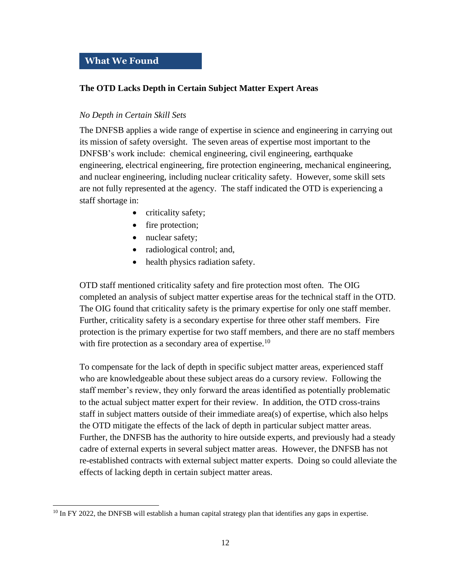## **What We Found**

#### **The OTD Lacks Depth in Certain Subject Matter Expert Areas**

#### *No Depth in Certain Skill Sets*

The DNFSB applies a wide range of expertise in science and engineering in carrying out its mission of safety oversight. The seven areas of expertise most important to the DNFSB's work include: chemical engineering, civil engineering, earthquake engineering, electrical engineering, fire protection engineering, mechanical engineering, and nuclear engineering, including nuclear criticality safety. However, some skill sets are not fully represented at the agency. The staff indicated the OTD is experiencing a staff shortage in:

- criticality safety;
- fire protection;
- nuclear safety;
- radiological control; and,
- health physics radiation safety.

OTD staff mentioned criticality safety and fire protection most often. The OIG completed an analysis of subject matter expertise areas for the technical staff in the OTD. The OIG found that criticality safety is the primary expertise for only one staff member. Further, criticality safety is a secondary expertise for three other staff members. Fire protection is the primary expertise for two staff members, and there are no staff members with fire protection as a secondary area of expertise.<sup>10</sup>

To compensate for the lack of depth in specific subject matter areas, experienced staff who are knowledgeable about these subject areas do a cursory review. Following the staff member's review, they only forward the areas identified as potentially problematic to the actual subject matter expert for their review. In addition, the OTD cross-trains staff in subject matters outside of their immediate area(s) of expertise, which also helps the OTD mitigate the effects of the lack of depth in particular subject matter areas. Further, the DNFSB has the authority to hire outside experts, and previously had a steady cadre of external experts in several subject matter areas. However, the DNFSB has not re-established contracts with external subject matter experts. Doing so could alleviate the effects of lacking depth in certain subject matter areas.

 $10$  In FY 2022, the DNFSB will establish a human capital strategy plan that identifies any gaps in expertise.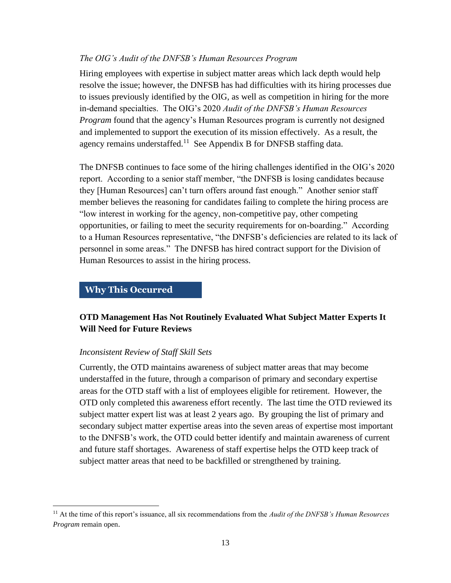#### *The OIG's Audit of the DNFSB's Human Resources Program*

Hiring employees with expertise in subject matter areas which lack depth would help resolve the issue; however, the DNFSB has had difficulties with its hiring processes due to issues previously identified by the OIG, as well as competition in hiring for the more in-demand specialties. The OIG's 2020 *Audit of the DNFSB's Human Resources Program* found that the agency's Human Resources program is currently not designed and implemented to support the execution of its mission effectively. As a result, the agency remains understaffed.<sup>11</sup> See Appendix B for DNFSB staffing data.

The DNFSB continues to face some of the hiring challenges identified in the OIG's 2020 report. According to a senior staff member, "the DNFSB is losing candidates because they [Human Resources] can't turn offers around fast enough." Another senior staff member believes the reasoning for candidates failing to complete the hiring process are "low interest in working for the agency, non-competitive pay, other competing opportunities, or failing to meet the security requirements for on-boarding." According to a Human Resources representative, "the DNFSB's deficiencies are related to its lack of personnel in some areas." The DNFSB has hired contract support for the Division of Human Resources to assist in the hiring process.

#### **Why This Occurred**

## **OTD Management Has Not Routinely Evaluated What Subject Matter Experts It Will Need for Future Reviews**

#### *Inconsistent Review of Staff Skill Sets*

Currently, the OTD maintains awareness of subject matter areas that may become understaffed in the future, through a comparison of primary and secondary expertise areas for the OTD staff with a list of employees eligible for retirement. However, the OTD only completed this awareness effort recently. The last time the OTD reviewed its subject matter expert list was at least 2 years ago. By grouping the list of primary and secondary subject matter expertise areas into the seven areas of expertise most important to the DNFSB's work, the OTD could better identify and maintain awareness of current and future staff shortages. Awareness of staff expertise helps the OTD keep track of subject matter areas that need to be backfilled or strengthened by training.

<sup>11</sup> At the time of this report's issuance, all six recommendations from the *Audit of the DNFSB's Human Resources Program* remain open.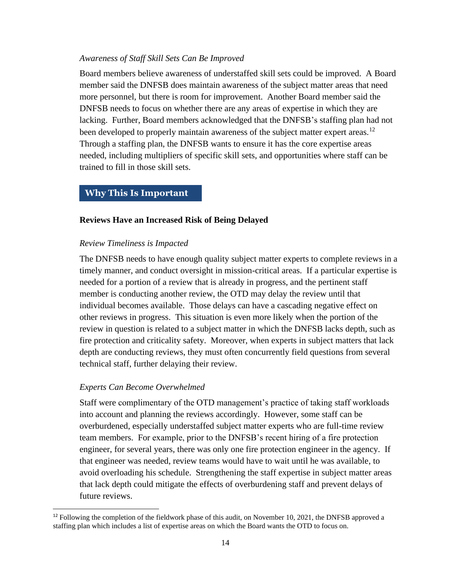#### *Awareness of Staff Skill Sets Can Be Improved*

Board members believe awareness of understaffed skill sets could be improved. A Board member said the DNFSB does maintain awareness of the subject matter areas that need more personnel, but there is room for improvement. Another Board member said the DNFSB needs to focus on whether there are any areas of expertise in which they are lacking. Further, Board members acknowledged that the DNFSB's staffing plan had not been developed to properly maintain awareness of the subject matter expert areas.<sup>12</sup> Through a staffing plan, the DNFSB wants to ensure it has the core expertise areas needed, including multipliers of specific skill sets, and opportunities where staff can be trained to fill in those skill sets.

#### **Why This Is Important**

#### **Reviews Have an Increased Risk of Being Delayed**

#### *Review Timeliness is Impacted*

The DNFSB needs to have enough quality subject matter experts to complete reviews in a timely manner, and conduct oversight in mission-critical areas. If a particular expertise is needed for a portion of a review that is already in progress, and the pertinent staff member is conducting another review, the OTD may delay the review until that individual becomes available. Those delays can have a cascading negative effect on other reviews in progress. This situation is even more likely when the portion of the review in question is related to a subject matter in which the DNFSB lacks depth, such as fire protection and criticality safety. Moreover, when experts in subject matters that lack depth are conducting reviews, they must often concurrently field questions from several technical staff, further delaying their review.

#### *Experts Can Become Overwhelmed*

Staff were complimentary of the OTD management's practice of taking staff workloads into account and planning the reviews accordingly. However, some staff can be overburdened, especially understaffed subject matter experts who are full-time review team members. For example, prior to the DNFSB's recent hiring of a fire protection engineer, for several years, there was only one fire protection engineer in the agency. If that engineer was needed, review teams would have to wait until he was available, to avoid overloading his schedule. Strengthening the staff expertise in subject matter areas that lack depth could mitigate the effects of overburdening staff and prevent delays of future reviews.

<sup>&</sup>lt;sup>12</sup> Following the completion of the fieldwork phase of this audit, on November 10, 2021, the DNFSB approved a staffing plan which includes a list of expertise areas on which the Board wants the OTD to focus on.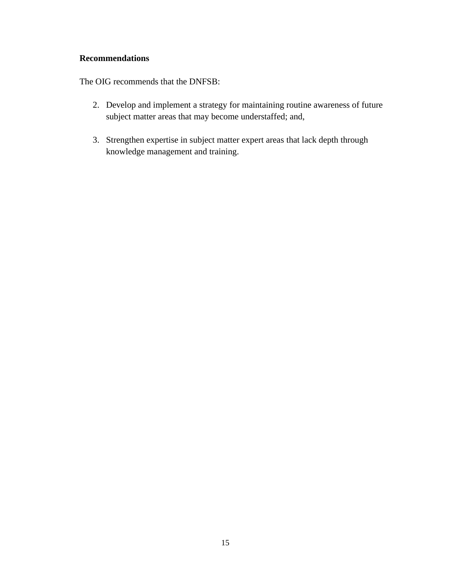#### **Recommendations**

The OIG recommends that the DNFSB:

- 2. Develop and implement a strategy for maintaining routine awareness of future subject matter areas that may become understaffed; and,
- 3. Strengthen expertise in subject matter expert areas that lack depth through knowledge management and training.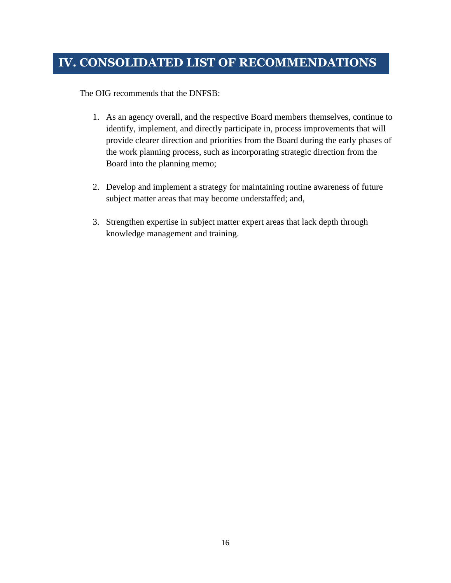<span id="page-20-0"></span>The OIG recommends that the DNFSB:

- 1. As an agency overall, and the respective Board members themselves, continue to identify, implement, and directly participate in, process improvements that will provide clearer direction and priorities from the Board during the early phases of the work planning process, such as incorporating strategic direction from the Board into the planning memo;
- 2. Develop and implement a strategy for maintaining routine awareness of future subject matter areas that may become understaffed; and,
- 3. Strengthen expertise in subject matter expert areas that lack depth through knowledge management and training.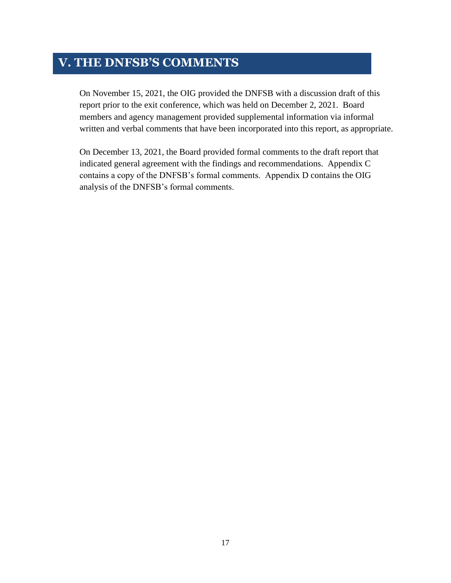# <span id="page-21-0"></span>**V. THE DNFSB'S COMMENTS**

On November 15, 2021, the OIG provided the DNFSB with a discussion draft of this report prior to the exit conference, which was held on December 2, 2021. Board members and agency management provided supplemental information via informal written and verbal comments that have been incorporated into this report, as appropriate.

On December 13, 2021, the Board provided formal comments to the draft report that indicated general agreement with the findings and recommendations. Appendix C contains a copy of the DNFSB's formal comments. Appendix D contains the OIG analysis of the DNFSB's formal comments.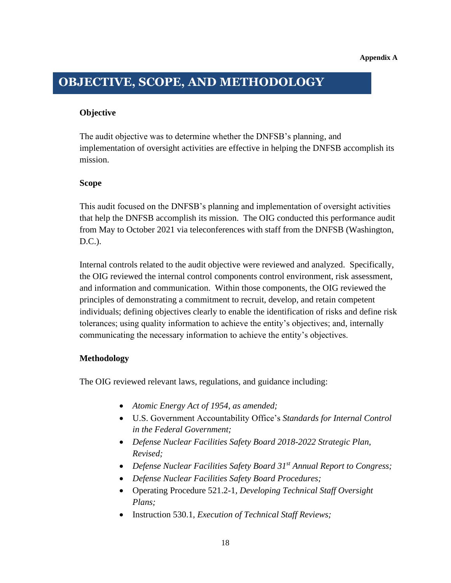# <span id="page-22-0"></span>**OBJECTIVE, SCOPE, AND METHODOLOGY**

## **Objective**

The audit objective was to determine whether the DNFSB's planning, and implementation of oversight activities are effective in helping the DNFSB accomplish its mission.

#### **Scope**

This audit focused on the DNFSB's planning and implementation of oversight activities that help the DNFSB accomplish its mission. The OIG conducted this performance audit from May to October 2021 via teleconferences with staff from the DNFSB (Washington, D.C.).

Internal controls related to the audit objective were reviewed and analyzed. Specifically, the OIG reviewed the internal control components control environment, risk assessment, and information and communication. Within those components, the OIG reviewed the principles of demonstrating a commitment to recruit, develop, and retain competent individuals; defining objectives clearly to enable the identification of risks and define risk tolerances; using quality information to achieve the entity's objectives; and, internally communicating the necessary information to achieve the entity's objectives.

## **Methodology**

The OIG reviewed relevant laws, regulations, and guidance including:

- *Atomic Energy Act of 1954, as amended;*
- U.S. Government Accountability Office's *Standards for Internal Control in the Federal Government;*
- *Defense Nuclear Facilities Safety Board 2018-2022 Strategic Plan, Revised;*
- *Defense Nuclear Facilities Safety Board 31st Annual Report to Congress;*
- *Defense Nuclear Facilities Safety Board Procedures;*
- Operating Procedure 521.2-1*, Developing Technical Staff Oversight Plans;*
- Instruction 530.1*, Execution of Technical Staff Reviews;*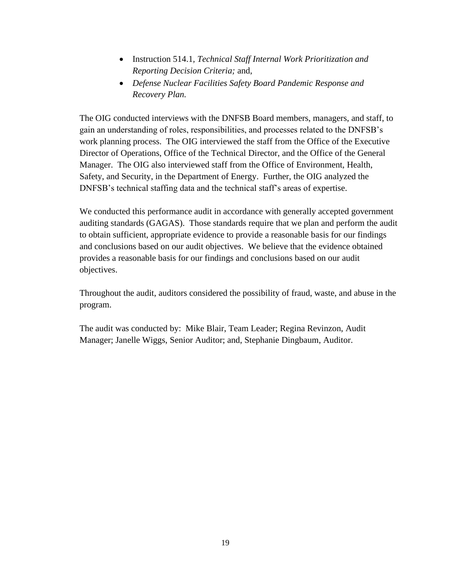- Instruction 514.1*, Technical Staff Internal Work Prioritization and Reporting Decision Criteria;* and,
- *Defense Nuclear Facilities Safety Board Pandemic Response and Recovery Plan.*

The OIG conducted interviews with the DNFSB Board members, managers, and staff, to gain an understanding of roles, responsibilities, and processes related to the DNFSB's work planning process. The OIG interviewed the staff from the Office of the Executive Director of Operations, Office of the Technical Director, and the Office of the General Manager. The OIG also interviewed staff from the Office of Environment, Health, Safety, and Security, in the Department of Energy. Further, the OIG analyzed the DNFSB's technical staffing data and the technical staff's areas of expertise.

We conducted this performance audit in accordance with generally accepted government auditing standards (GAGAS). Those standards require that we plan and perform the audit to obtain sufficient, appropriate evidence to provide a reasonable basis for our findings and conclusions based on our audit objectives. We believe that the evidence obtained provides a reasonable basis for our findings and conclusions based on our audit objectives.

Throughout the audit, auditors considered the possibility of fraud, waste, and abuse in the program.

The audit was conducted by: Mike Blair, Team Leader; Regina Revinzon, Audit Manager; Janelle Wiggs, Senior Auditor; and, Stephanie Dingbaum, Auditor.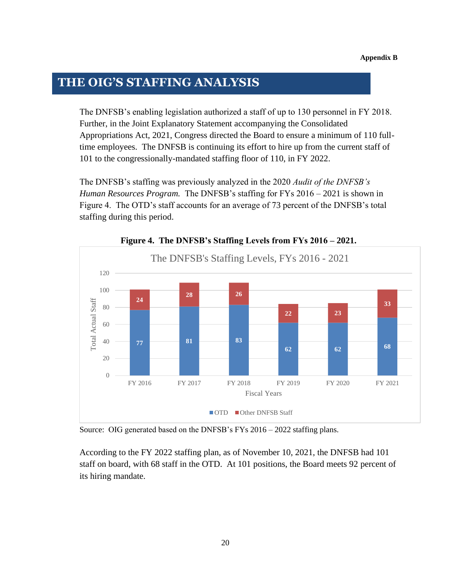# <span id="page-24-0"></span>**THE OIG'S STAFFING ANALYSIS**

The DNFSB's enabling legislation authorized a staff of up to 130 personnel in FY 2018. Further, in the Joint Explanatory Statement accompanying the Consolidated Appropriations Act, 2021, Congress directed the Board to ensure a minimum of 110 fulltime employees. The DNFSB is continuing its effort to hire up from the current staff of 101 to the congressionally-mandated staffing floor of 110, in FY 2022.

The DNFSB's staffing was previously analyzed in the 2020 *Audit of the DNFSB's Human Resources Program.* The DNFSB's staffing for FYs 2016 – 2021 is shown in Figure 4. The OTD's staff accounts for an average of 73 percent of the DNFSB's total staffing during this period.



**Figure 4. The DNFSB's Staffing Levels from FYs 2016 – 2021.**

Source: OIG generated based on the DNFSB's FYs 2016 – 2022 staffing plans.

According to the FY 2022 staffing plan, as of November 10, 2021, the DNFSB had 101 staff on board, with 68 staff in the OTD. At 101 positions, the Board meets 92 percent of its hiring mandate.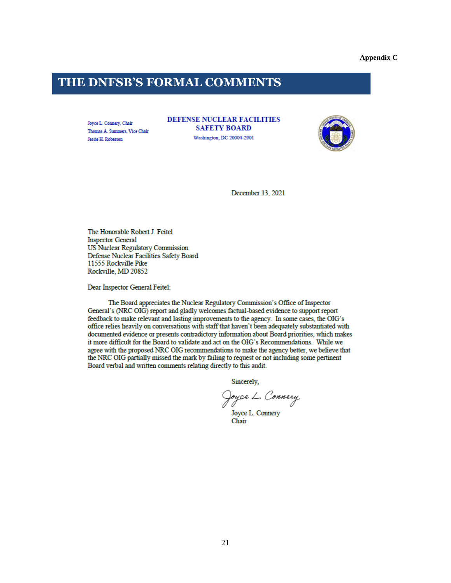**Appendix C**

# <span id="page-25-0"></span>**THE DNFSB'S FORMAL COMMENTS**

Joyce L. Connery, Chair Thomas A. Summers, Vice Chair Jessie H. Roberson

**DEFENSE NUCLEAR FACILITIES SAFETY BOARD** Washington, DC 20004-2901



December 13, 2021

The Honorable Robert J. Feitel **Inspector General US Nuclear Regulatory Commission** Defense Nuclear Facilities Safety Board 11555 Rockville Pike Rockville, MD 20852

Dear Inspector General Feitel:

The Board appreciates the Nuclear Regulatory Commission's Office of Inspector General's (NRC OIG) report and gladly welcomes factual-based evidence to support report feedback to make relevant and lasting improvements to the agency. In some cases, the OIG's office relies heavily on conversations with staff that haven't been adequately substantiated with documented evidence or presents contradictory information about Board priorities, which makes it more difficult for the Board to validate and act on the OIG's Recommendations. While we agree with the proposed NRC OIG recommendations to make the agency better, we believe that the NRC OIG partially missed the mark by failing to request or not including some pertinent Board verbal and written comments relating directly to this audit.

Sincerely,

Joyce L. Connery

Joyce L. Connery Chair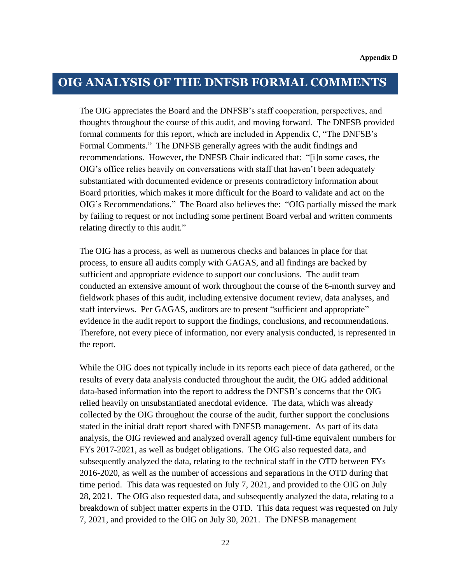# <span id="page-26-0"></span>**OIG ANALYSIS OF THE DNFSB FORMAL COMMENTS**

The OIG appreciates the Board and the DNFSB's staff cooperation, perspectives, and thoughts throughout the course of this audit, and moving forward. The DNFSB provided formal comments for this report, which are included in Appendix C, "The DNFSB's Formal Comments." The DNFSB generally agrees with the audit findings and recommendations. However, the DNFSB Chair indicated that: "[i]n some cases, the OIG's office relies heavily on conversations with staff that haven't been adequately substantiated with documented evidence or presents contradictory information about Board priorities, which makes it more difficult for the Board to validate and act on the OIG's Recommendations." The Board also believes the: "OIG partially missed the mark by failing to request or not including some pertinent Board verbal and written comments relating directly to this audit."

The OIG has a process, as well as numerous checks and balances in place for that process, to ensure all audits comply with GAGAS, and all findings are backed by sufficient and appropriate evidence to support our conclusions. The audit team conducted an extensive amount of work throughout the course of the 6-month survey and fieldwork phases of this audit, including extensive document review, data analyses, and staff interviews. Per GAGAS, auditors are to present "sufficient and appropriate" evidence in the audit report to support the findings, conclusions, and recommendations. Therefore, not every piece of information, nor every analysis conducted, is represented in the report.

While the OIG does not typically include in its reports each piece of data gathered, or the results of every data analysis conducted throughout the audit, the OIG added additional data-based information into the report to address the DNFSB's concerns that the OIG relied heavily on unsubstantiated anecdotal evidence. The data, which was already collected by the OIG throughout the course of the audit, further support the conclusions stated in the initial draft report shared with DNFSB management. As part of its data analysis, the OIG reviewed and analyzed overall agency full-time equivalent numbers for FYs 2017-2021, as well as budget obligations. The OIG also requested data, and subsequently analyzed the data, relating to the technical staff in the OTD between FYs 2016-2020, as well as the number of accessions and separations in the OTD during that time period. This data was requested on July 7, 2021, and provided to the OIG on July 28, 2021. The OIG also requested data, and subsequently analyzed the data, relating to a breakdown of subject matter experts in the OTD. This data request was requested on July 7, 2021, and provided to the OIG on July 30, 2021. The DNFSB management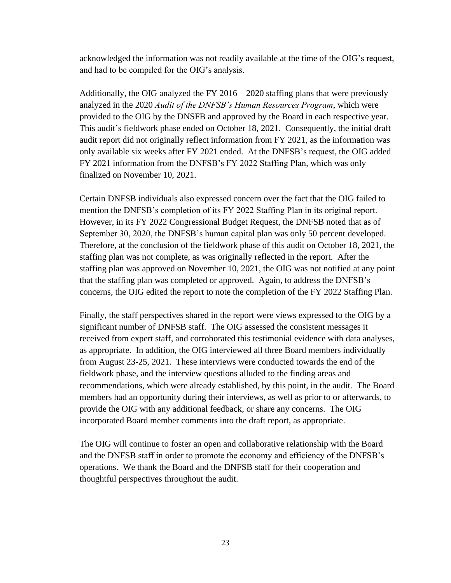acknowledged the information was not readily available at the time of the OIG's request, and had to be compiled for the OIG's analysis.

Additionally, the OIG analyzed the FY 2016 – 2020 staffing plans that were previously analyzed in the 2020 *Audit of the DNFSB's Human Resources Program*, which were provided to the OIG by the DNSFB and approved by the Board in each respective year. This audit's fieldwork phase ended on October 18, 2021. Consequently, the initial draft audit report did not originally reflect information from FY 2021, as the information was only available six weeks after FY 2021 ended. At the DNFSB's request, the OIG added FY 2021 information from the DNFSB's FY 2022 Staffing Plan, which was only finalized on November 10, 2021.

Certain DNFSB individuals also expressed concern over the fact that the OIG failed to mention the DNFSB's completion of its FY 2022 Staffing Plan in its original report. However, in its FY 2022 Congressional Budget Request, the DNFSB noted that as of September 30, 2020, the DNFSB's human capital plan was only 50 percent developed. Therefore, at the conclusion of the fieldwork phase of this audit on October 18, 2021, the staffing plan was not complete, as was originally reflected in the report. After the staffing plan was approved on November 10, 2021, the OIG was not notified at any point that the staffing plan was completed or approved. Again, to address the DNFSB's concerns, the OIG edited the report to note the completion of the FY 2022 Staffing Plan.

Finally, the staff perspectives shared in the report were views expressed to the OIG by a significant number of DNFSB staff. The OIG assessed the consistent messages it received from expert staff, and corroborated this testimonial evidence with data analyses, as appropriate. In addition, the OIG interviewed all three Board members individually from August 23-25, 2021. These interviews were conducted towards the end of the fieldwork phase, and the interview questions alluded to the finding areas and recommendations, which were already established, by this point, in the audit. The Board members had an opportunity during their interviews, as well as prior to or afterwards, to provide the OIG with any additional feedback, or share any concerns. The OIG incorporated Board member comments into the draft report, as appropriate.

The OIG will continue to foster an open and collaborative relationship with the Board and the DNFSB staff in order to promote the economy and efficiency of the DNFSB's operations. We thank the Board and the DNFSB staff for their cooperation and thoughtful perspectives throughout the audit.